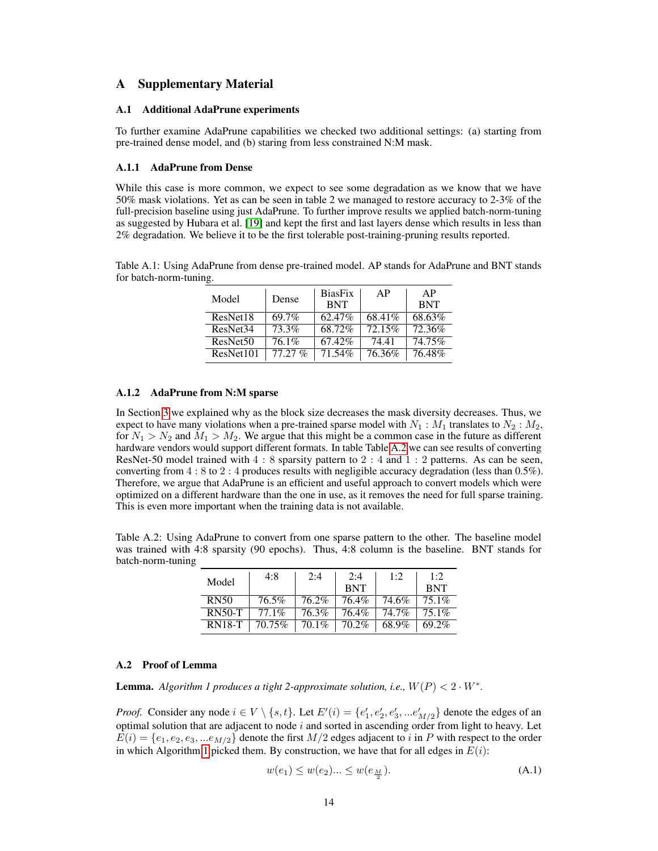# A Supplementary Material

#### A.1 Additional AdaPrune experiments

To further examine AdaPrune capabilities we checked two additional settings: (a) starting from pre-trained dense model, and (b) staring from less constrained N:M mask.

# A.1.1 AdaPrune from Dense

While this case is more common, we expect to see some degradation as we know that we have 50% mask violations. Yet as can be seen in table 2 we managed to restore accuracy to 2-3% of the full-precision baseline using just AdaPrune. To further improve results we applied batch-norm-tuning as suggested by Hubara et al. [19] and kept the first and last layers dense which results in less than 2% degradation. We believe it to be the first tolerable post-training-pruning results reported.

Table A.1: Using AdaPrune from dense pre-trained model. AP stands for AdaPrune and BNT stands for batch-norm-tuning.

| Model                | Dense  | <b>BiasFix</b> | AP     | AP         |
|----------------------|--------|----------------|--------|------------|
|                      |        | <b>BNT</b>     |        | <b>BNT</b> |
| ResNet18             | 69.7%  | 62.47%         | 68.41% | 68.63%     |
| ResNet <sub>34</sub> | 73.3%  | 68.72%         | 72.15% | 72.36%     |
| ResNet <sub>50</sub> | 76.1%  | 67.42%         | 74.41  | 74.75%     |
| ResNet101            | 77.27% | 71.54%         | 76.36% | 76.48%     |

# A.1.2 AdaPrune from N:M sparse

In Section 3 we explained why as the block size decreases the mask diversity decreases. Thus, we expect to have many violations when a pre-trained sparse model with  $N_1 : M_1$  translates to  $N_2 : M_2$ , for  $N_1 > N_2$  and  $M_1 > M_2$ . We argue that this might be a common case in the future as different hardware vendors would support different formats. In table Table [A.2](#page-0-0) we can see results of converting ResNet-50 model trained with 4 : 8 sparsity pattern to 2 : 4 and 1 : 2 patterns. As can be seen, converting from 4 : 8 to 2 : 4 produces results with negligible accuracy degradation (less than 0.5%). Therefore, we argue that AdaPrune is an efficient and useful approach to convert models which were optimized on a different hardware than the one in use, as it removes the need for full sparse training. This is even more important when the training data is not available.

<span id="page-0-0"></span>Table A.2: Using AdaPrune to convert from one sparse pattern to the other. The baseline model was trained with 4:8 sparsity (90 epochs). Thus, 4:8 column is the baseline. BNT stands for batch-norm-tuning

| Model       | 4:8      | 2:4   | 2:4<br><b>BNT</b>           | 1:2   | 1:2<br><b>BNT</b> |
|-------------|----------|-------|-----------------------------|-------|-------------------|
| <b>RN50</b> | 76.5%    | 76.2% | 76.4%                       | 74.6% | 75.1%             |
| $RN50-T$    | $77.1\%$ | 76.3% | 76.4%                       | 74.7% | 75.1%             |
| $RN18-T$    | 70.75%   |       | $70.1\%$   $70.2\%$   68.9% |       | 69.2%             |

#### A.2 Proof of Lemma

**Lemma.** Algorithm 1 produces a tight 2-approximate solution, i.e.,  $W(P) < 2 \cdot W^*$ .

*Proof.* Consider any node  $i \in V \setminus \{s, t\}$ . Let  $E'(i) = \{e'_1, e'_2, e'_3, ... e'_{M/2}\}$  denote the edges of an optimal solution that are adjacent to node  $i$  and sorted in ascending order from light to heavy. Let  $\overline{E}(i) = \{e_1, e_2, e_3, ... e_{M/2}\}\$ denote the first  $M/2$  edges adjacent to i in P with respect to the order in which Algorithm 1 picked them. By construction, we have that for all edges in  $E(i)$ :

$$
w(e_1) \le w(e_2) \dots \le w(e_{\frac{M}{2}}). \tag{A.1}
$$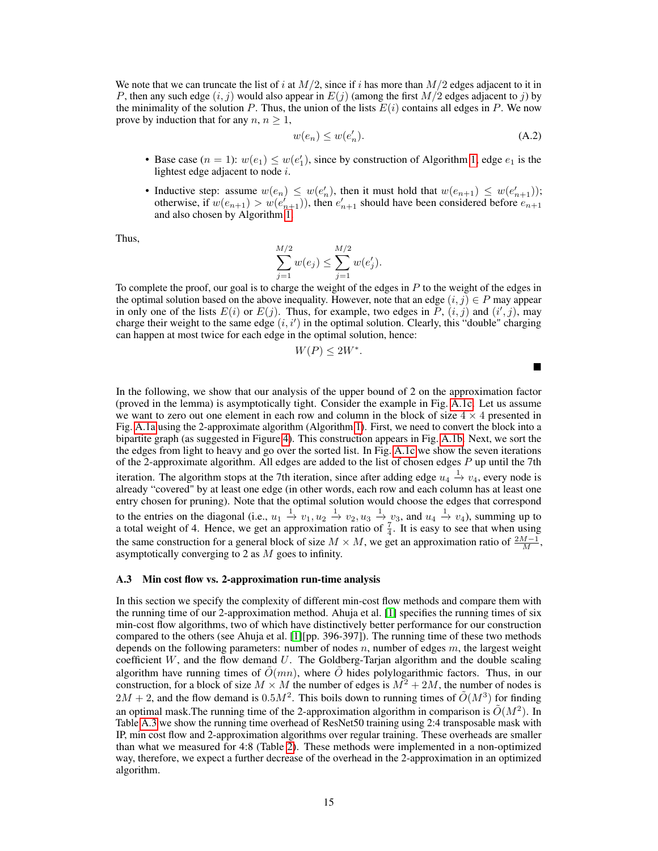We note that we can truncate the list of i at  $M/2$ , since if i has more than  $M/2$  edges adjacent to it in P, then any such edge  $(i, j)$  would also appear in  $E(j)$  (among the first  $M/2$  edges adjacent to j) by the minimality of the solution P. Thus, the union of the lists  $E(i)$  contains all edges in P. We now prove by induction that for any  $n, n \geq 1$ ,

$$
w(e_n) \le w(e'_n). \tag{A.2}
$$

- Base case  $(n = 1)$ :  $w(e_1) \leq w(e'_1)$ , since by construction of Algorithm 1, edge  $e_1$  is the lightest edge adjacent to node i.
- Inductive step: assume  $w(e_n) \leq w(e'_n)$ , then it must hold that  $w(e_{n+1}) \leq w(e'_{n+1})$ ; otherwise, if  $w(e_{n+1}) > w(e'_{n+1})$ , then  $e'_{n+1}$  should have been considered before  $e_{n+1}$ and also chosen by Algorithm 1.

Thus,

$$
\sum_{j=1}^{M/2} w(e_j) \le \sum_{j=1}^{M/2} w(e'_j).
$$

To complete the proof, our goal is to charge the weight of the edges in  $P$  to the weight of the edges in the optimal solution based on the above inequality. However, note that an edge  $(i, j) \in P$  may appear in only one of the lists  $E(i)$  or  $E(j)$ . Thus, for example, two edges in  $\tilde{P}$ ,  $(i, j)$  and  $(i', j)$ , may charge their weight to the same edge  $(i, i')$  in the optimal solution. Clearly, this "double" charging can happen at most twice for each edge in the optimal solution, hence:

$$
W(P) \le 2W^*.
$$

 $\blacksquare$ 

In the following, we show that our analysis of the upper bound of 2 on the approximation factor (proved in the lemma) is asymptotically tight. Consider the example in Fig. [A.1c.](#page-2-0) Let us assume we want to zero out one element in each row and column in the block of size  $4 \times 4$  presented in Fig. [A.1a](#page-2-0) using the 2-approximate algorithm (Algorithm 1). First, we need to convert the block into a bipartite graph (as suggested in Figure 4). This construction appears in Fig. [A.1b.](#page-2-0) Next, we sort the the edges from light to heavy and go over the sorted list. In Fig. [A.1c](#page-2-0) we show the seven iterations of the 2-approximate algorithm. All edges are added to the list of chosen edges  $P$  up until the 7th iteration. The algorithm stops at the 7th iteration, since after adding edge  $u_4 \stackrel{1}{\rightarrow} v_4$ , every node is already "covered" by at least one edge (in other words, each row and each column has at least one entry chosen for pruning). Note that the optimal solution would choose the edges that correspond to the entries on the diagonal (i.e.,  $u_1 \stackrel{1}{\rightarrow} v_1, u_2 \stackrel{1}{\rightarrow} v_2, u_3 \stackrel{1}{\rightarrow} v_3$ , and  $u_4 \stackrel{1}{\rightarrow} v_4$ ), summing up to a total weight of 4. Hence, we get an approximation ratio of  $\frac{7}{4}$ . It is easy to see that when using the same construction for a general block of size  $M \times M$ , we get an approximation ratio of  $\frac{2M-1}{M}$ , asymptotically converging to 2 as M goes to infinity.

### A.3 Min cost flow vs. 2-approximation run-time analysis

In this section we specify the complexity of different min-cost flow methods and compare them with the running time of our 2-approximation method. Ahuja et al. [1] specifies the running times of six min-cost flow algorithms, two of which have distinctively better performance for our construction compared to the others (see Ahuja et al. [1][pp. 396-397]). The running time of these two methods depends on the following parameters: number of nodes  $n$ , number of edges  $m$ , the largest weight coefficient  $W$ , and the flow demand  $U$ . The Goldberg-Tarjan algorithm and the double scaling algorithm have running times of  $\tilde{O}(mn)$ , where  $\tilde{O}$  hides polylogarithmic factors. Thus, in our construction, for a block of size  $M \times M$  the number of edges is  $M^2 + 2M$ , the number of nodes is  $2M + 2$ , and the flow demand is 0.5 $M^2$ . This boils down to running times of  $\tilde{O}(M^3)$  for finding an optimal mask. The running time of the 2-approximation algorithm in comparison is  $\tilde{O}(M^2)$ . In Table [A.3](#page-2-1) we show the running time overhead of ResNet50 training using 2:4 transposable mask with IP, min cost flow and 2-approximation algorithms over regular training. These overheads are smaller than what we measured for 4:8 (Table 2). These methods were implemented in a non-optimized way, therefore, we expect a further decrease of the overhead in the 2-approximation in an optimized algorithm.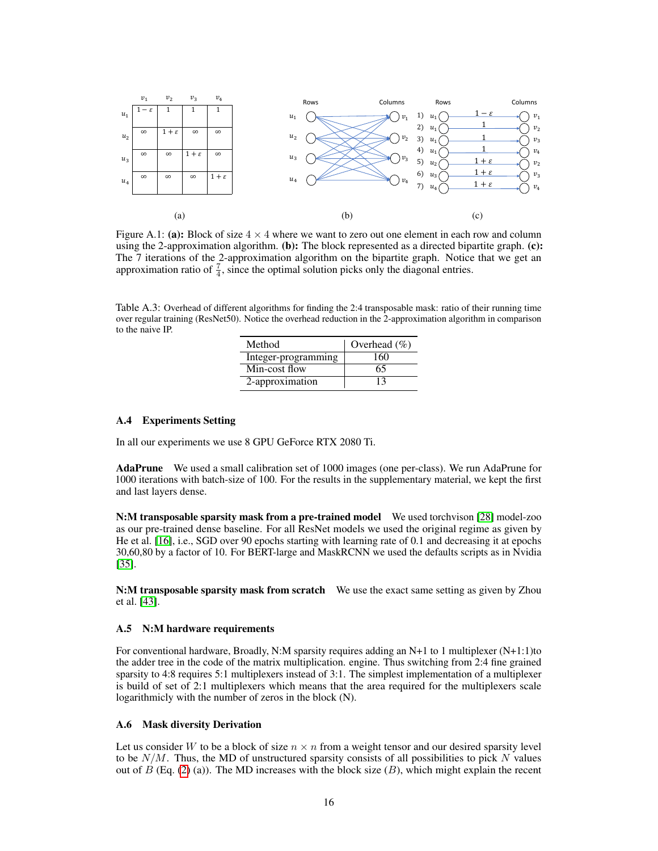<span id="page-2-0"></span>

Figure A.1: (a): Block of size  $4 \times 4$  where we want to zero out one element in each row and column using the 2-approximation algorithm.  $(b)$ : The block represented as a directed bipartite graph.  $(c)$ : The 7 iterations of the 2-approximation algorithm on the bipartite graph. Notice that we get an approximation ratio of  $\frac{7}{4}$ , since the optimal solution picks only the diagonal entries.

<span id="page-2-1"></span>Table A.3: Overhead of different algorithms for finding the 2:4 transposable mask: ratio of their running time over regular training (ResNet50). Notice the overhead reduction in the 2-approximation algorithm in comparison to the naive IP.

| Method              | Overhead $(\% )$ |
|---------------------|------------------|
| Integer-programming | 160              |
| Min-cost flow       | 65               |
| 2-approximation     | 13               |

### A.4 Experiments Setting

In all our experiments we use 8 GPU GeForce RTX 2080 Ti.

AdaPrune We used a small calibration set of 1000 images (one per-class). We run AdaPrune for 1000 iterations with batch-size of 100. For the results in the supplementary material, we kept the first and last layers dense.

N:M transposable sparsity mask from a pre-trained model We used torchvison [28] model-zoo as our pre-trained dense baseline. For all ResNet models we used the original regime as given by He et al. [16], i.e., SGD over 90 epochs starting with learning rate of 0.1 and decreasing it at epochs 30,60,80 by a factor of 10. For BERT-large and MaskRCNN we used the defaults scripts as in Nvidia [35].

N:M transposable sparsity mask from scratch We use the exact same setting as given by Zhou et al. [43].

### A.5 N:M hardware requirements

For conventional hardware, Broadly, N:M sparsity requires adding an N+1 to 1 multiplexer (N+1:1)to the adder tree in the code of the matrix multiplication. engine. Thus switching from 2:4 fine grained sparsity to 4:8 requires 5:1 multiplexers instead of 3:1. The simplest implementation of a multiplexer is build of set of 2:1 multiplexers which means that the area required for the multiplexers scale logarithmicly with the number of zeros in the block (N).

### A.6 Mask diversity Derivation

Let us consider W to be a block of size  $n \times n$  from a weight tensor and our desired sparsity level to be  $N/M$ . Thus, the MD of unstructured sparsity consists of all possibilities to pick N values out of  $B$  (Eq. (2) (a)). The MD increases with the block size  $(B)$ , which might explain the recent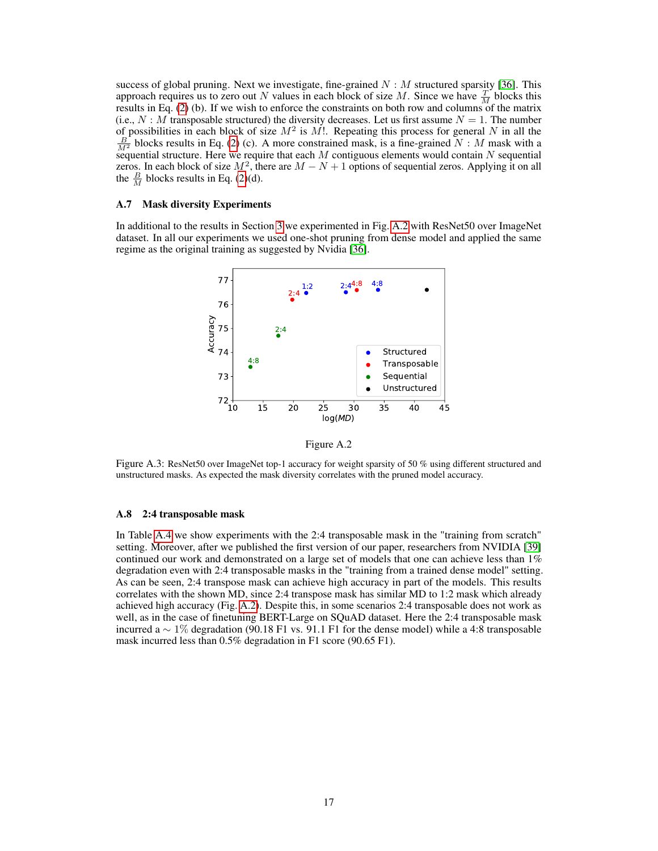success of global pruning. Next we investigate, fine-grained  $N : M$  structured sparsity [36]. This approach requires us to zero out N values in each block of size M. Since we have  $\frac{T}{M}$  blocks this results in Eq. (2) (b). If we wish to enforce the constraints on both row and columns of the matrix (i.e.,  $N : M$  transposable structured) the diversity decreases. Let us first assume  $N = 1$ . The number of possibilities in each block of size  $M^2$  is M!. Repeating this process for general N in all the  $\frac{B}{M^2}$  blocks results in Eq. (2) (c). A more constrained mask, is a fine-grained  $N : M$  mask with a sequential structure. Here we require that each  $M$  contiguous elements would contain  $N$  sequential zeros. In each block of size  $M^2$ , there are  $M - N + 1$  options of sequential zeros. Applying it on all the  $\frac{B}{M}$  blocks results in Eq. (2)(d).

### A.7 Mask diversity Experiments

<span id="page-3-0"></span>In additional to the results in Section 3 we experimented in Fig. [A.2](#page-3-0) with ResNet50 over ImageNet dataset. In all our experiments we used one-shot pruning from dense model and applied the same regime as the original training as suggested by Nvidia [36].



Figure A.2

Figure A.3: ResNet50 over ImageNet top-1 accuracy for weight sparsity of 50 % using different structured and unstructured masks. As expected the mask diversity correlates with the pruned model accuracy.

#### A.8 2:4 transposable mask

In Table [A.4](#page-4-0) we show experiments with the 2:4 transposable mask in the "training from scratch" setting. Moreover, after we published the first version of our paper, researchers from NVIDIA [39] continued our work and demonstrated on a large set of models that one can achieve less than 1% degradation even with 2:4 transposable masks in the "training from a trained dense model" setting. As can be seen, 2:4 transpose mask can achieve high accuracy in part of the models. This results correlates with the shown MD, since 2:4 transpose mask has similar MD to 1:2 mask which already achieved high accuracy (Fig. [A.2\)](#page-3-0). Despite this, in some scenarios 2:4 transposable does not work as well, as in the case of finetuning BERT-Large on SQuAD dataset. Here the 2:4 transposable mask incurred a  $\sim 1\%$  degradation (90.18 F1 vs. 91.1 F1 for the dense model) while a 4:8 transposable mask incurred less than 0.5% degradation in F1 score (90.65 F1).